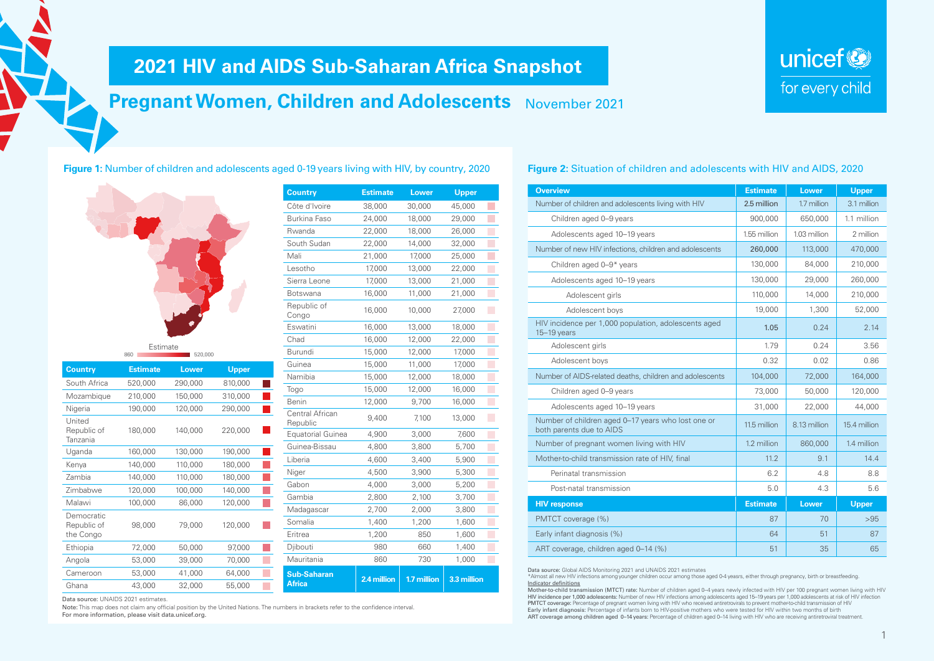## **2021 HIV and AIDS Sub-Saharan Africa Snapshot**

## **Pregnant Women, Children and Adolescents** November 2021

**Figure 1:** Number of children and adolescents aged 0-19 years living with HIV, by country, 2020



|     | Estimate |         |
|-----|----------|---------|
| 860 |          | 520,000 |

| <b>Country</b>                         | <b>Estimate</b> | Lower   | Upper   |  |
|----------------------------------------|-----------------|---------|---------|--|
| South Africa                           | 520,000         | 290,000 | 810,000 |  |
| Mozambique                             | 210,000         | 150,000 | 310,000 |  |
| Nigeria                                | 190,000         | 120,000 | 290,000 |  |
| United<br>Republic of<br>Tanzania      | 180,000         | 140,000 | 220,000 |  |
| Uganda                                 | 160,000         | 130,000 | 190,000 |  |
| Kenya                                  | 140,000         | 110,000 | 180,000 |  |
| Zambia                                 | 140,000         | 110,000 | 180,000 |  |
| Zimbabwe                               | 120,000         | 100,000 | 140,000 |  |
| Malawi                                 | 100,000         | 86,000  | 120,000 |  |
| Democratic<br>Republic of<br>the Congo | 98,000          | 79,000  | 120,000 |  |
| Ethiopia                               | 72,000          | 50,000  | 97,000  |  |
| Angola                                 | 53,000          | 39,000  | 70,000  |  |
| Cameroon                               | 53,000          | 41,000  | 64,000  |  |
| Ghana                                  | 43,000          | 32,000  | 55,000  |  |

| <b>Country</b>                      | <b>Estimate</b> | <b>Lower</b> | <b>Upper</b> |
|-------------------------------------|-----------------|--------------|--------------|
| Côte d'Ivoire                       | 38,000          | 30,000       | 45,000       |
| Burkina Faso                        | 24,000          | 18,000       | 29,000       |
| Rwanda                              | 22,000          | 18,000       | 26,000       |
| South Sudan                         | 22,000          | 14,000       | 32,000       |
| Mali                                | 21,000          | 17,000       | 25,000       |
| Lesotho                             | 17,000          | 13,000       | 22,000       |
| Sierra Leone                        | 17,000          | 13,000       | 21,000       |
| Botswana                            | 16,000          | 11,000       | 21,000       |
| Republic of<br>Congo                | 16,000          | 10,000       | 27,000       |
| Eswatini                            | 16,000          | 13,000       | 18,000       |
| Chad                                | 16,000          | 12,000       | 22,000       |
| Burundi                             | 15,000          | 12,000       | 17,000       |
| Guinea                              | 15,000          | 11,000       | 17,000       |
| Namibia                             | 15,000          | 12,000       | 18,000       |
| Togo                                | 15,000          | 12,000       | 16,000       |
| Benin                               | 12,000          | 9,700        | 16,000       |
| Central African<br>Republic         | 9,400           | 7,100        | 13,000       |
| <b>Equatorial Guinea</b>            | 4,900           | 3,000        | 7,600        |
| Guinea-Bissau                       | 4,800           | 3,800        | 5,700        |
| Liberia                             | 4,600           | 3,400        | 5,900        |
| Niger                               | 4,500           | 3,900        | 5,300        |
| Gabon                               | 4,000           | 3,000        | 5,200        |
| Gambia                              | 2,800           | 2,100        | 3,700        |
| Madagascar                          | 2,700           | 2,000        | 3,800        |
| Somalia                             | 1,400           | 1,200        | 1,600        |
| Eritrea                             | 1,200           | 850          | 1,600        |
| Djibouti                            | 980             | 660          | 1,400        |
| Mauritania                          | 860             | 730          | 1,000        |
| <b>Sub-Saharan</b><br><b>Africa</b> | 2.4 million     | 1.7 million  | 3.3 million  |

Data source: UNAIDS 2021 estimates.

Note: This map does not claim any official position by the United Nations. The numbers in brackets refer to the confidence interval. For more information, please visit data.unicef.org.

| oppo:       |                                                                       |                |
|-------------|-----------------------------------------------------------------------|----------------|
| 45,000      | Number of children and adolescents living with HIV                    | $\overline{2}$ |
| 29,000      | Children aged 0-9 years                                               |                |
| 26,000      | Adolescents aged 10-19 years                                          | 1.             |
| 32,000      | Number of new HIV infections, children and adolescents                |                |
| 25,000      |                                                                       |                |
| 22,000      | Children aged 0-9* years                                              |                |
| 21,000      | Adolescents aged 10-19 years                                          |                |
| 21,000      | Adolescent girls                                                      |                |
| 27,000      | Adolescent boys                                                       |                |
| 18,000      | HIV incidence per 1,000 population, adolescents aged<br>$15-19$ years |                |
| 22,000      | Adolescent girls                                                      |                |
| 17,000      |                                                                       |                |
| 17,000      | Adolescent boys                                                       |                |
| 18,000      | Number of AIDS-related deaths, children and adolescents               |                |
| 16,000      | Children aged 0-9 years                                               |                |
| 16,000      | Adolescents aged 10-19 years                                          |                |
| 13,000      | Number of children aged 0-17 years who lost one or                    | 1              |
| 7,600       | both parents due to AIDS                                              |                |
| 5,700       | Number of pregnant women living with HIV                              |                |
| <b>FAOO</b> | $M$ othorto obild tranomicojon roto of $H N$ final                    |                |

### **Figure 2:** Situation of children and adolescents with HIV and AIDS, 2020

unicef<sup>®</sup>

for every child

| <b>Overview</b>                                                                | <b>Estimate</b> | Lower        | <b>Upper</b> |
|--------------------------------------------------------------------------------|-----------------|--------------|--------------|
| Number of children and adolescents living with HIV                             | 2.5 million     | 1.7 million  | 3.1 million  |
| Children aged 0-9 years                                                        | 900,000         | 650,000      | 1.1 million  |
| Adolescents aged 10-19 years                                                   | 1.55 million    | 1.03 million | 2 million    |
| Number of new HIV infections, children and adolescents                         | 260,000         | 113,000      | 470,000      |
| Children aged 0-9* years                                                       | 130,000         | 84,000       | 210,000      |
| Adolescents aged 10-19 years                                                   | 130,000         | 29,000       | 260,000      |
| Adolescent girls                                                               | 110,000         | 14,000       | 210,000      |
| Adolescent boys                                                                | 19,000          | 1,300        | 52,000       |
| HIV incidence per 1,000 population, adolescents aged<br>$15-19$ years          | 1.05            | 0.24         | 2.14         |
| Adolescent girls                                                               | 1.79            | 0.24         | 3.56         |
| Adolescent boys                                                                | 0.32            | 0.02         | 0.86         |
| Number of AIDS-related deaths, children and adolescents                        | 104,000         | 72,000       | 164,000      |
| Children aged 0-9 years                                                        | 73,000          | 50,000       | 120,000      |
| Adolescents aged 10-19 years                                                   | 31,000          | 22,000       | 44.000       |
| Number of children aged 0-17 years who lost one or<br>both parents due to AIDS | 11.5 million    | 8.13 million | 15.4 million |
| Number of pregnant women living with HIV                                       | 1.2 million     | 860,000      | 1.4 million  |
| Mother-to-child transmission rate of HIV, final                                | 11.2            | 9.1          | 14.4         |
| Perinatal transmission                                                         | 6.2             | 4.8          | 8.8          |
| Post-natal transmission                                                        | 5.0             | 4.3          | 5.6          |
| <b>HIV response</b>                                                            | <b>Estimate</b> | <b>Lower</b> | <b>Upper</b> |
| PMTCT coverage (%)                                                             | 87              | 70           | >95          |
| Early infant diagnosis (%)                                                     | 64              | 51           | 87           |
| ART coverage, children aged 0-14 (%)                                           | 51              | 35           | 65           |
|                                                                                |                 |              |              |

Data source: Global AIDS Monitoring 2021 and UNAIDS 2021 estimates

\*Almost all new HIV infections among younger children occur among those aged 0-4 yeasrs, either through pregnancy, birth or breastfeeding. Indicator definitions

Mother-to-child transmission (MTCT) rate: Number of children aged 0–4 years newly infected with HIV per 100 pregnant women living with HIV HIV incidence per 1,000 adolescents: Number of new HIV infections among adolescents aged 15–19 years per 1,000 adolescents at risk of HIV infection PMTCT coverage: Percentage of pregnant women living with HIV who received antiretrovirals to prevent mother-to-child transmission of HIV Early infant diagnosis: Percentage of infants born to HIV-positive mothers who were tested for HIV within two months of birth ART coverage among children aged 0–14 years: Percentage of children aged 0–14 living with HIV who are receiving antiretroviral treatment.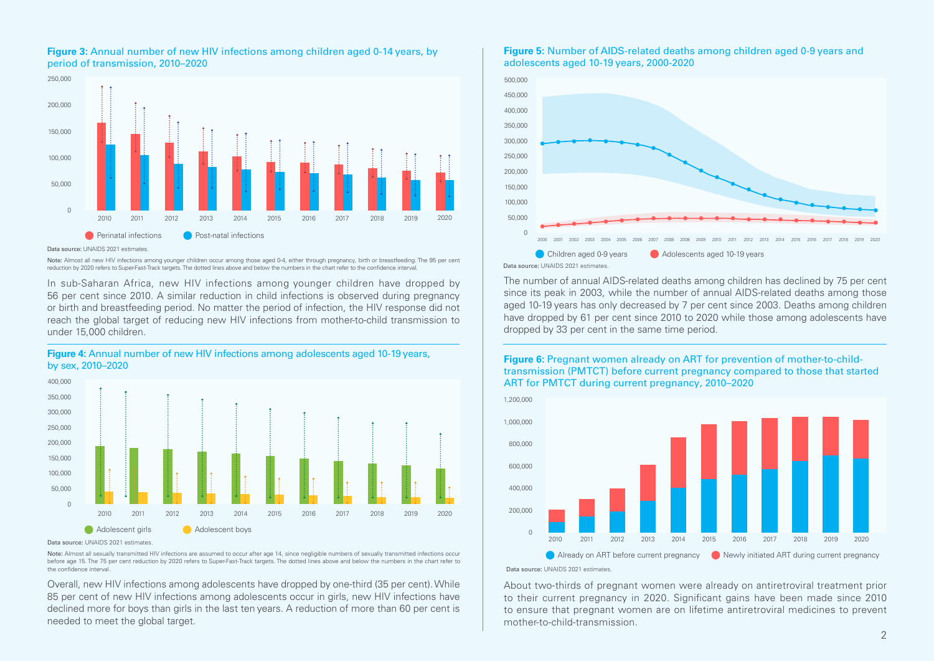

#### **Figure 3:** Annual number of new HIV infections among children aged 0-14 years, by period of transmission, 2010–2020

#### Data source: UNAIDS 2021 estimates.

Note: Almost all new HIV infections among younger children occur among those aged 0-4, either through pregnancy, birth or breastfeeding. The 95 per cent reduction by 2020 refers to Super-Fast-Track targets. The dotted lines above and below the numbers in the chart refer to the confidence interval.

In sub-Saharan Africa, new HIV infections among younger children have dropped by 56 per cent since 2010. A similar reduction in child infections is observed during pregnancy or birth and breastfeeding period. No matter the period of infection, the HIV response did not reach the global target of reducing new HIV infections from mother-to-child transmission to under 15,000 children.



#### **Figure 4:** Annual number of new HIV infections among adolescents aged 10-19 years, by sex, 2010–2020

Data source: UNAIDS 2021 estimates.

Note: Almost all sexually transmitted HIV infections are assumed to occur after age 14, since negligible numbers of sexually transmitted infections occur before age 15. The 75 per cent reduction by 2020 refers to Super-Fast-Track targets. The dotted lines above and below the numbers in the chart refer to the confidence interval.

Overall, new HIV infections among adolescents have dropped by one-third (35 per cent). While 85 per cent of new HIV infections among adolescents occur in girls, new HIV infections have declined more for boys than girls in the last ten years. A reduction of more than 60 per cent is needed to meet the global target.

#### **Figure 5:** Number of AIDS-related deaths among children aged 0-9 years and adolescents aged 10-19 years, 2000-2020



The number of annual AIDS-related deaths among children has declined by 75 per cent since its peak in 2003, while the number of annual AIDS-related deaths among those aged 10-19 years has only decreased by 7 per cent since 2003. Deaths among children have dropped by 61 per cent since 2010 to 2020 while those among adolescents have dropped by 33 per cent in the same time period.

#### **Figure 6:** Pregnant women already on ART for prevention of mother-to-childtransmission (PMTCT) before current pregnancy compared to those that started ART for PMTCT during current pregnancy, 2010–2020



Data source: UNAIDS 2021 estimates.

About two-thirds of pregnant women were already on antiretroviral treatment prior to their current pregnancy in 2020. Significant gains have been made since 2010 to ensure that pregnant women are on lifetime antiretroviral medicines to prevent mother-to-child-transmission.